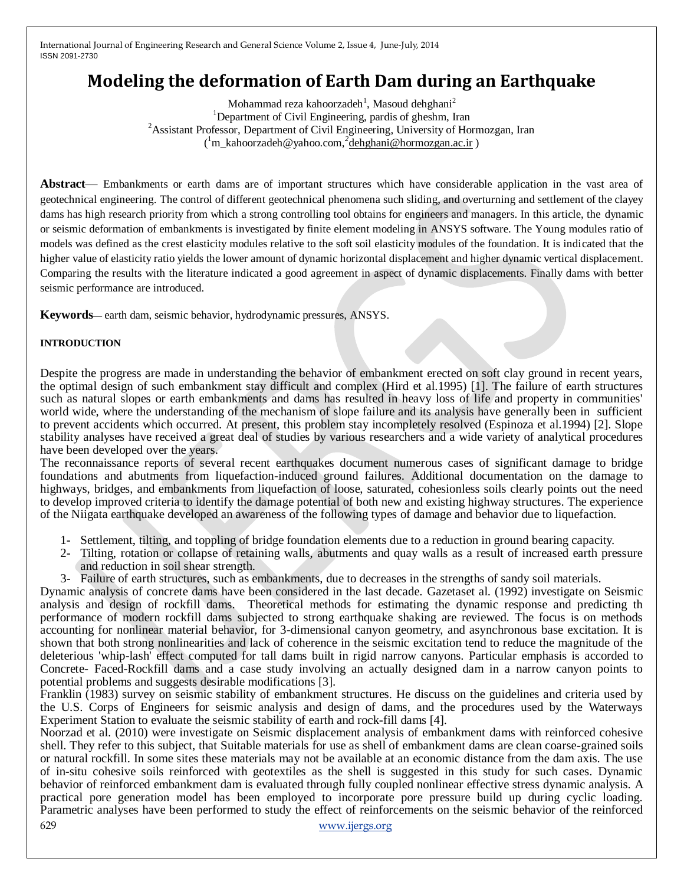# **Modeling the deformation of Earth Dam during an Earthquake**

Mohammad reza kahoorzadeh $^1$ , Masoud dehghani $^2$ <sup>1</sup>Department of Civil Engineering, pardis of gheshm, Iran <sup>2</sup> Assistant Professor, Department of Civil Engineering, University of Hormozgan, Iran ( <sup>1</sup>m\_kahoorzadeh@yahoo.com,*<sup>2</sup>* [dehghani@hormozgan.ac.ir](mailto:dehghani@hormozgan.ac.ir) )

**Abstract**— Embankments or earth dams are of important structures which have considerable application in the vast area of geotechnical engineering. The control of different geotechnical phenomena such sliding, and overturning and settlement of the clayey dams has high research priority from which a strong controlling tool obtains for engineers and managers. In this article, the dynamic or seismic deformation of embankments is investigated by finite element modeling in ANSYS software. The Young modules ratio of models was defined as the crest elasticity modules relative to the soft soil elasticity modules of the foundation. It is indicated that the higher value of elasticity ratio yields the lower amount of dynamic horizontal displacement and higher dynamic vertical displacement. Comparing the results with the literature indicated a good agreement in aspect of dynamic displacements. Finally dams with better seismic performance are introduced.

**Keywords**— earth dam, seismic behavior, hydrodynamic pressures, ANSYS.

## **INTRODUCTION**

Despite the progress are made in understanding the behavior of embankment erected on soft clay ground in recent years, the optimal design of such embankment stay difficult and complex (Hird et al.1995) [1]. The failure of earth structures such as natural slopes or earth embankments and dams has resulted in heavy loss of life and property in communities' world wide, where the understanding of the mechanism of slope failure and its analysis have generally been in sufficient to prevent accidents which occurred. At present, this problem stay incompletely resolved (Espinoza et al.1994) [2]. Slope stability analyses have received a great deal of studies by various researchers and a wide variety of analytical procedures have been developed over the years.

The reconnaissance reports of several recent earthquakes document numerous cases of significant damage to bridge foundations and abutments from liquefaction-induced ground failures. Additional documentation on the damage to highways, bridges, and embankments from liquefaction of loose, saturated, cohesionless soils clearly points out the need to develop improved criteria to identify the damage potential of both new and existing highway structures. The experience of the Niigata earthquake developed an awareness of the following types of damage and behavior due to liquefaction.

- 1- Settlement, tilting, and toppling of bridge foundation elements due to a reduction in ground bearing capacity.
- 2- Tilting, rotation or collapse of retaining walls, abutments and quay walls as a result of increased earth pressure and reduction in soil shear strength.
- 3- Failure of earth structures, such as embankments, due to decreases in the strengths of sandy soil materials.

Dynamic analysis of concrete dams have been considered in the last decade. Gazetaset al. (1992) investigate on Seismic analysis and design of rockfill dams. Theoretical methods for estimating the dynamic response and predicting th performance of modern rockfill dams subjected to strong earthquake shaking are reviewed. The focus is on methods accounting for nonlinear material behavior, for 3-dimensional canyon geometry, and asynchronous base excitation. It is shown that both strong nonlinearities and lack of coherence in the seismic excitation tend to reduce the magnitude of the deleterious 'whip-lash' effect computed for tall dams built in rigid narrow canyons. Particular emphasis is accorded to Concrete- Faced-Rockfill dams and a case study involving an actually designed dam in a narrow canyon points to potential problems and suggests desirable modifications [3].

Franklin (1983) survey on seismic stability of embankment structures. He discuss on the guidelines and criteria used by the U.S. Corps of Engineers for seismic analysis and design of dams, and the procedures used by the Waterways Experiment Station to evaluate the seismic stability of earth and rock-fill dams [4].

629 [www.ijergs.org](http://www.ijergs.org/) Noorzad et al. (2010) were investigate on Seismic displacement analysis of embankment dams with reinforced cohesive shell. They refer to this subject, that Suitable materials for use as shell of embankment dams are clean coarse-grained soils or natural rockfill. In some sites these materials may not be available at an economic distance from the dam axis. The use of in-situ cohesive soils reinforced with geotextiles as the shell is suggested in this study for such cases. Dynamic behavior of reinforced embankment dam is evaluated through fully coupled nonlinear effective stress dynamic analysis. A practical pore generation model has been employed to incorporate pore pressure build up during cyclic loading. Parametric analyses have been performed to study the effect of reinforcements on the seismic behavior of the reinforced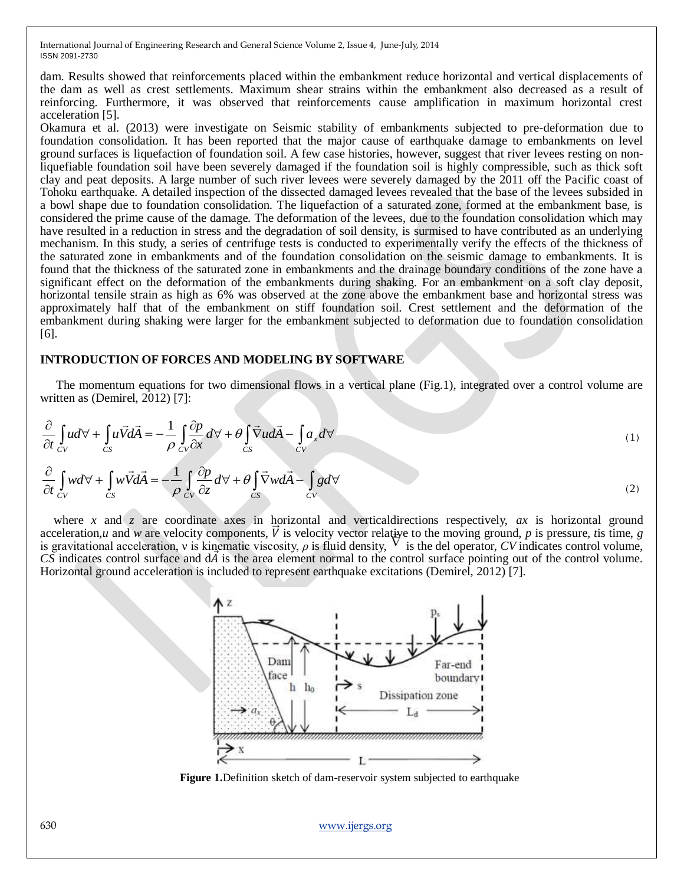dam. Results showed that reinforcements placed within the embankment reduce horizontal and vertical displacements of the dam as well as crest settlements. Maximum shear strains within the embankment also decreased as a result of reinforcing. Furthermore, it was observed that reinforcements cause amplification in maximum horizontal crest acceleration [5].

Okamura et al. (2013) were investigate on Seismic stability of embankments subjected to pre-deformation due to foundation consolidation. It has been reported that the major cause of earthquake damage to embankments on level ground surfaces is liquefaction of foundation soil. A few case histories, however, suggest that river levees resting on nonliquefiable foundation soil have been severely damaged if the foundation soil is highly compressible, such as thick soft clay and peat deposits. A large number of such river levees were severely damaged by the 2011 off the Pacific coast of Tohoku earthquake. A detailed inspection of the dissected damaged levees revealed that the base of the levees subsided in a bowl shape due to foundation consolidation. The liquefaction of a saturated zone, formed at the embankment base, is considered the prime cause of the damage. The deformation of the levees, due to the foundation consolidation which may have resulted in a reduction in stress and the degradation of soil density, is surmised to have contributed as an underlying mechanism. In this study, a series of centrifuge tests is conducted to experimentally verify the effects of the thickness of the saturated zone in embankments and of the foundation consolidation on the seismic damage to embankments. It is found that the thickness of the saturated zone in embankments and the drainage boundary conditions of the zone have a significant effect on the deformation of the embankments during shaking. For an embankment on a soft clay deposit, horizontal tensile strain as high as 6% was observed at the zone above the embankment base and horizontal stress was approximately half that of the embankment on stiff foundation soil. Crest settlement and the deformation of the embankment during shaking were larger for the embankment subjected to deformation due to foundation consolidation [6].

## **INTRODUCTION OF FORCES AND MODELING BY SOFTWARE**

The momentum equations for two dimensional flows in a vertical plane (Fig.1), integrated over a control volume are written as (Demirel, 2012) [7]:

$$
\frac{\partial}{\partial t} \int_{CV} u d\forall + \int_{CS} u \vec{V} d\vec{A} = -\frac{1}{\rho} \int_{CV} \frac{\partial p}{\partial x} d\forall + \theta \int_{CS} \vec{\nabla} u d\vec{A} - \int_{CV} a_x d\forall \n\frac{\partial}{\partial t} \int_{CV} w d\forall + \int_{CS} w \vec{V} d\vec{A} = -\frac{1}{\rho} \int_{CV} \frac{\partial p}{\partial z} d\forall + \theta \int_{CS} \vec{\nabla} w d\vec{A} - \int_{CV} g d\forall
$$
\n(1)

where *x* and *z* are coordinate axes in horizontal and verticaldirections respectively, *ax* is horizontal ground acceleration,*u* and *w* are velocity components,  $\vec{V}$  is velocity vector relative to the moving ground, *p* is pressure, *t*is time, *g* is gravitational acceleration, ν is kinematic viscosity, *ρ* is fluid density, is the del operator, *CV* indicates control volume, *CS* indicates control surface and d*A* is the area element normal to the control surface pointing out of the control volume. Horizontal ground acceleration is included to represent earthquake excitations (Demirel, 2012) [7].



**Figure 1.** Definition sketch of dam-reservoir system subjected to earthquake

630 [www.ijergs.org](http://www.ijergs.org/)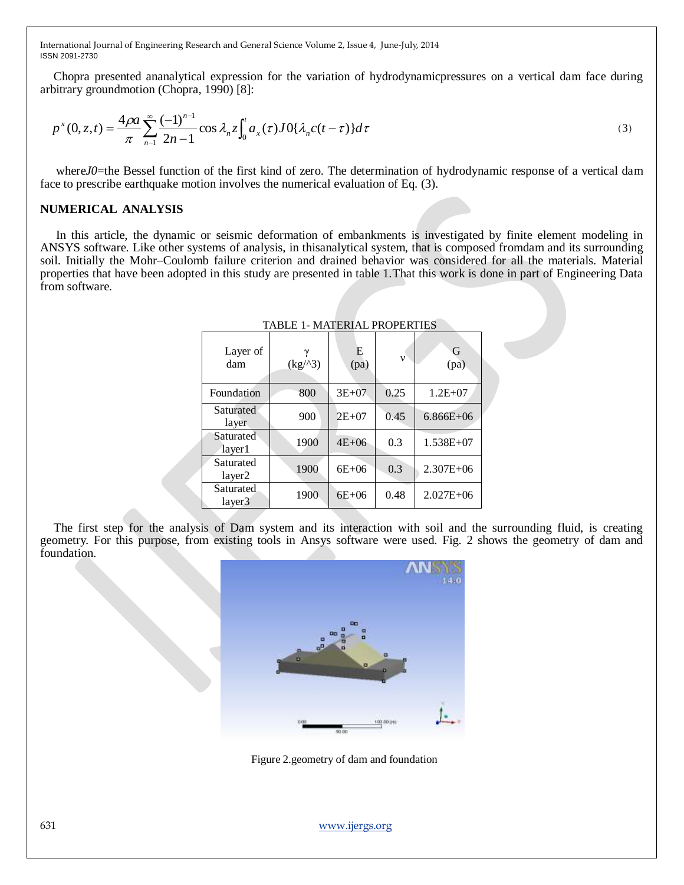Chopra presented ananalytical expression for the variation of hydrodynamicpressures on a vertical dam face during arbitrary groundmotion (Chopra, 1990) [8]:

$$
p^{x}(0, z, t) = \frac{4\rho a}{\pi} \sum_{n=1}^{\infty} \frac{(-1)^{n-1}}{2n-1} \cos \lambda_n z \int_0^t a_x(\tau) J0\{\lambda_n c(t-\tau)\} d\tau
$$
\n(3)

where*J0*=the Bessel function of the first kind of zero. The determination of hydrodynamic response of a vertical dam face to prescribe earthquake motion involves the numerical evaluation of Eq. (3).

## **NUMERICAL ANALYSIS**

In this article, the dynamic or seismic deformation of embankments is investigated by finite element modeling in ANSYS software. Like other systems of analysis, in thisanalytical system, that is composed fromdam and its surrounding soil. Initially the Mohr–Coulomb failure criterion and drained behavior was considered for all the materials. Material properties that have been adopted in this study are presented in table 1.That this work is done in part of Engineering Data from software.

| Layer of<br>dam     | (kg/3) | E<br>(pa) | $\mathbf{v}$ | G<br>(pa)     |
|---------------------|--------|-----------|--------------|---------------|
| Foundation          | 800    | $3E + 07$ | 0.25         | $1.2E + 07$   |
| Saturated<br>layer  | 900    | $2E+07$   | 0.45         | $6.866E + 06$ |
| Saturated<br>layer1 | 1900   | $4E + 06$ | 0.3          | 1.538E+07     |
| Saturated<br>layer2 | 1900   | $6E + 06$ | 0.3          | $2.307E + 06$ |
| Saturated<br>layer3 | 1900   | $6E + 06$ | 0.48         | $2.027E + 06$ |

#### TABLE 1- MATERIAL PROPERTIES

The first step for the analysis of Dam system and its interaction with soil and the surrounding fluid, is creating geometry. For this purpose, from existing tools in Ansys software were used. Fig. 2 shows the geometry of dam and foundation.



Figure 2.geometry of dam and foundation

631 [www.ijergs.org](http://www.ijergs.org/)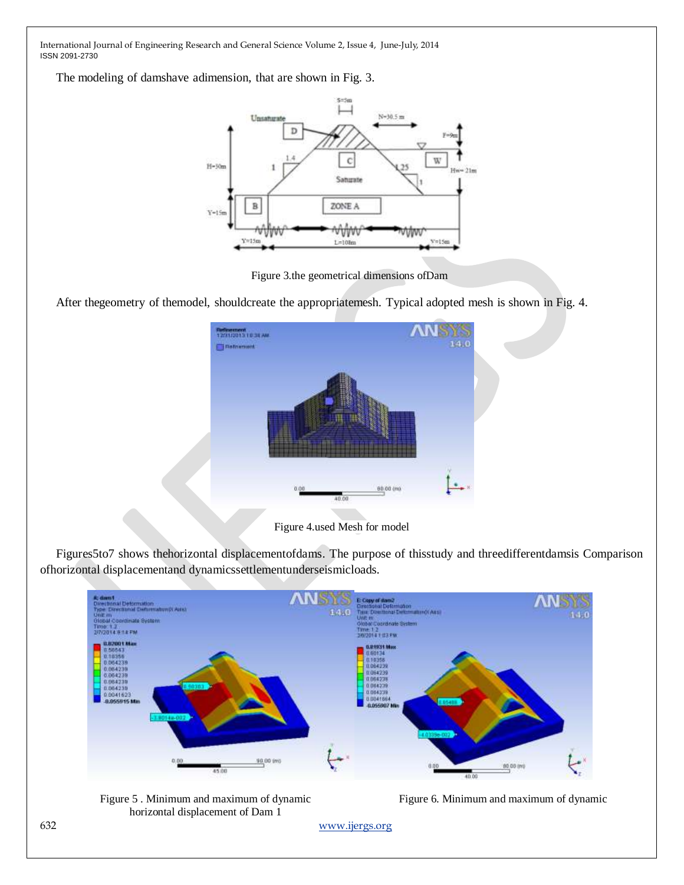The modeling of damshave adimension, that are shown in Fig. 3.



Figure 3.the geometrical dimensions ofDam

After thegeometry of themodel, shouldcreate the appropriatemesh. Typical adopted mesh is shown in Fig. 4.



Figure 4.used Mesh for model

Figures5to7 shows thehorizontal displacementofdams. The purpose of thisstudy and threedifferentdamsis Comparison ofhorizontal displacementand dynamicssettlementunderseismicloads.





Figure 6. Minimum and maximum of dynamic

632 [www.ijergs.org](http://www.ijergs.org/)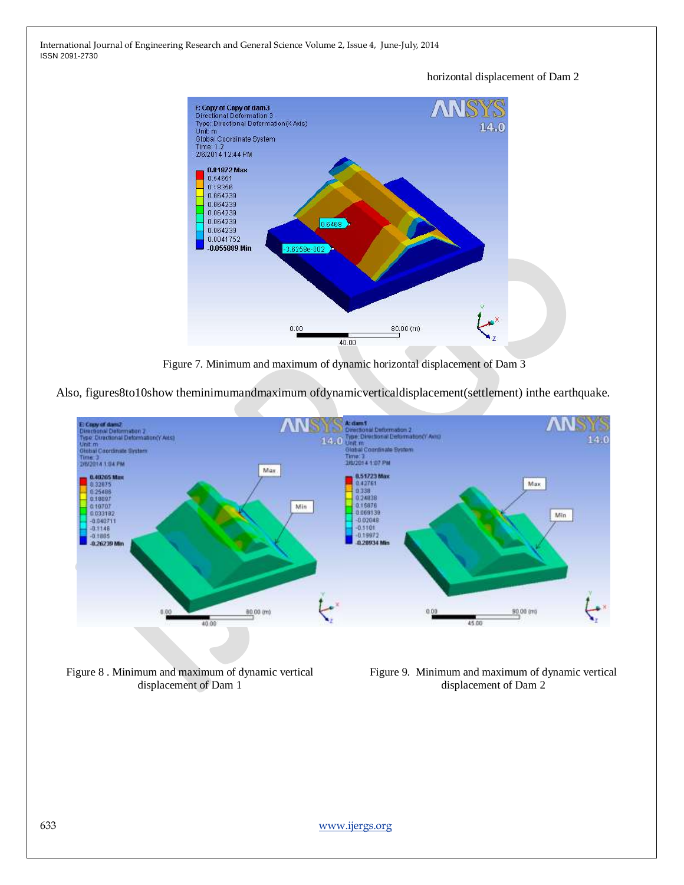> F: Copy of Copy of dam3<br>Directional Deformation 3<br>Type: Directional Deformation(X Axis)<br>Unit: m  $14.0$ Global Coordinate System Time: 1.2<br>2/6/2014 12:44 PM 0.81872 Max<br>0.54651 0.18356 0.064239 0.064239 0.064239 0.064239 0.646 0.064239 0.0041752  $-0.055889$  Min 3.6258e-002  $_{0.00}$ 80.00 (m) 40.00

horizontal displacement of Dam 2

Figure 7. Minimum and maximum of dynamic horizontal displacement of Dam 3

Also, figures8to10show theminimumandmaximum ofdynamicverticaldisplacement(settlement) inthe earthquake.



Figure 8 . Minimum and maximum of dynamic vertical displacement of Dam 1